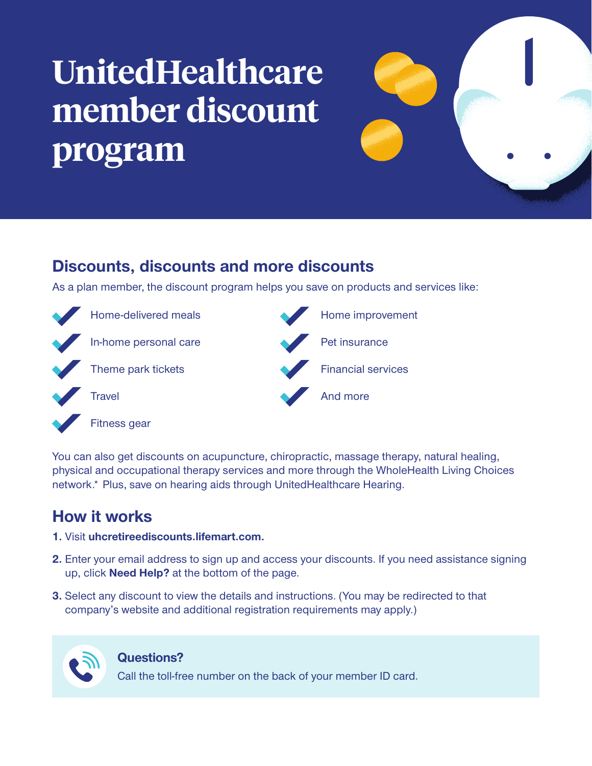## **UnitedHealthcare member** discount **program**



## **Discounts, discounts and more discounts**

As a plan member, the discount program helps you save on products and services like:



You can also get discounts on acupuncture, chiropractic, massage therapy, natural healing, physical and occupational therapy services and more through the WholeHealth Living Choices network.\* Plus, save on hearing aids through UnitedHealthcare Hearing.

## **How it works**

- **1.** Visit uhcretireediscounts lifemart.com.
- **2.** Enter your email address to sign up and access your discounts. If you need assistance signing up, click **Need Help?** at the bottom of the page.
- **3.** Select any discount to view the details and instructions. (You may be redirected to that company's website and additional registration requirements may apply.)



## **?Questions**

Call the toll-free number on the back of your member ID card.